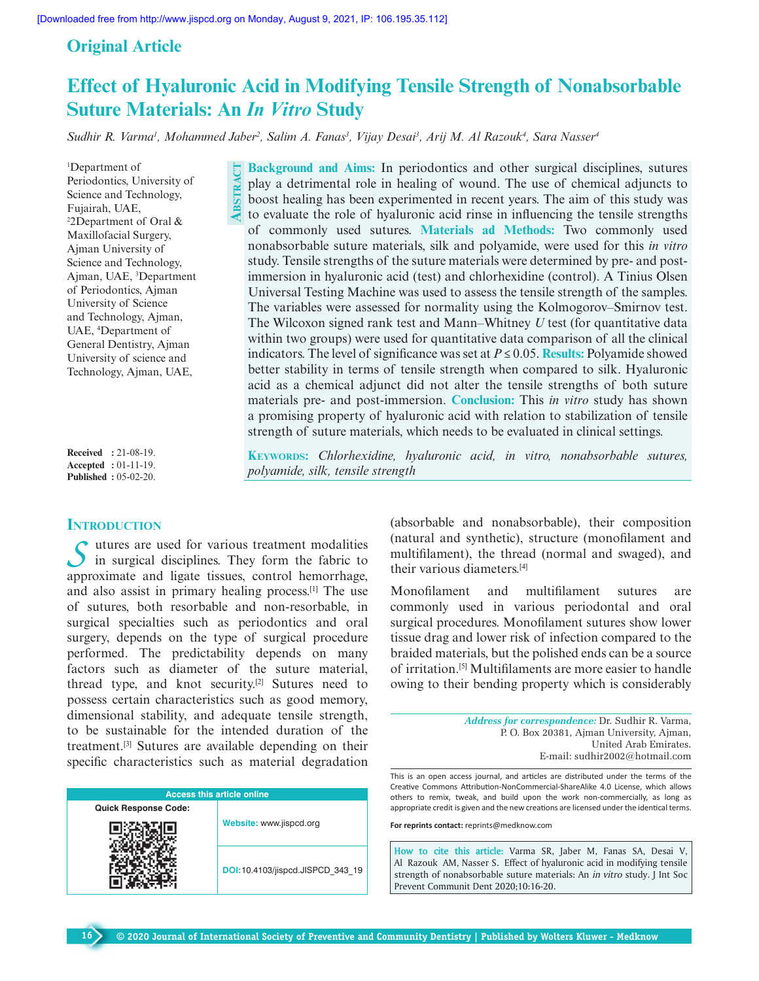**ABSTRACT**

## **Original Article**

# **Effect of Hyaluronic Acid in Modifying Tensile Strength of Nonabsorbable Suture Materials: An In Vitro Study**

*Sudhir R. Varma<sup>1</sup> , Mohammed Jaber<sup>2</sup> , Salim A. Fanas<sup>3</sup> , Vijay Desai<sup>3</sup> , Arij M. Al Razouk<sup>4</sup> , Sara Nasser<sup>4</sup>*

<sup>1</sup>Department of Periodontics, University of Science and Technology, Fujairah, UAE, <sup>2</sup>2Department of Oral & Maxillofacial Surgery, Ajman University of Science and Technology, Ajman, UAE, <sup>3</sup>Department of Periodontics, Ajman University of Science and Technology, Ajman, UAE, <sup>4</sup>Department of General Dentistry, Ajman University of science and Technology, Ajman, UAE,

**Received :** 21-08-19. **Accepted :** 01-11-19. **Published :** 05-02-20.

## **INTRODUCTION**

**16**

S utures are used for various treatment modalities in surgical disciplines. They form the fabric to in surgical disciplines. They form the fabric to approximate and ligate tissues, control hemorrhage, and also assist in primary healing process.[1] The use of sutures, both resorbable and non-resorbable, in surgical specialties such as periodontics and oral surgery, depends on the type of surgical procedure performed. The predictability depends on many factors such as diameter of the suture material, thread type, and knot security.[2] Sutures need to possess certain characteristics such as good memory, dimensional stability, and adequate tensile strength, to be sustainable for the intended duration of the treatment.[3] Sutures are available depending on their specific characteristics such as material degradation

| <b>Access this article online</b> |                                  |  |  |  |
|-----------------------------------|----------------------------------|--|--|--|
| <b>Quick Response Code:</b>       |                                  |  |  |  |
|                                   | Website: www.jispcd.org          |  |  |  |
|                                   | DOI:10.4103/jispcd.JISPCD 343 19 |  |  |  |

**Background and Aims:** In periodontics and other surgical disciplines, sutures play a detrimental role in healing of wound. The use of chemical adjuncts to boost healing has been experimented in recent years. The aim of this study was to evaluate the role of hyaluronic acid rinse in influencing the tensile strengths of commonly used sutures. **Materials ad Methods:** Two commonly used nonabsorbable suture materials, silk and polyamide, were used for this *in vitro* study. Tensile strengths of the suture materials were determined by pre- and postimmersion in hyaluronic acid (test) and chlorhexidine (control). A Tinius Olsen Universal Testing Machine was used to assess the tensile strength of the samples. The variables were assessed for normality using the Kolmogorov–Smirnov test. The Wilcoxon signed rank test and Mann–Whitney *U* test (for quantitative data within two groups) were used for quantitative data comparison of all the clinical indicators. The level of significance was set at  $P \le 0.05$ . **Results:** Polyamide showed better stability in terms of tensile strength when compared to silk. Hyaluronic acid as a chemical adjunct did not alter the tensile strengths of both suture materials pre- and post-immersion. **Conclusion:** This *in vitro* study has shown a promising property of hyaluronic acid with relation to stabilization of tensile strength of suture materials, which needs to be evaluated in clinical settings.

**KEYWORDS:** *Chlorhexidine, hyaluronic acid, in vitro, nonabsorbable sutures, polyamide, silk, tensile strength*

> (absorbable and nonabsorbable), their composition (natural and synthetic), structure (monofilament and multifilament), the thread (normal and swaged), and their various diameters.[4]

> Monofilament and multifilament sutures are commonly used in various periodontal and oral surgical procedures. Monofilament sutures show lower tissue drag and lower risk of infection compared to the braided materials, but the polished ends can be a source of irritation.[5] Multifilaments are more easier to handle owing to their bending property which is considerably

> > *Address for correspondence:* Dr. Sudhir R. Varma, P. O. Box 20381, Ajman University, Ajman, United Arab Emirates. E-mail: sudhir2002@hotmail.com

This is an open access journal, and articles are distributed under the terms of the Creative Commons Attribution-NonCommercial-ShareAlike 4.0 License, which allows others to remix, tweak, and build upon the work non-commercially, as long as appropriate credit is given and the new creations are licensed under the identical terms.

**For reprints contact:** reprints@medknow.com

**How to cite this article:** Varma SR, Jaber M, Fanas SA, Desai V, Al Razouk AM, Nasser S. Effect of hyaluronic acid in modifying tensile strength of nonabsorbable suture materials: An *in vitro* study. J Int Soc Prevent Communit Dent 2020;10:16-20.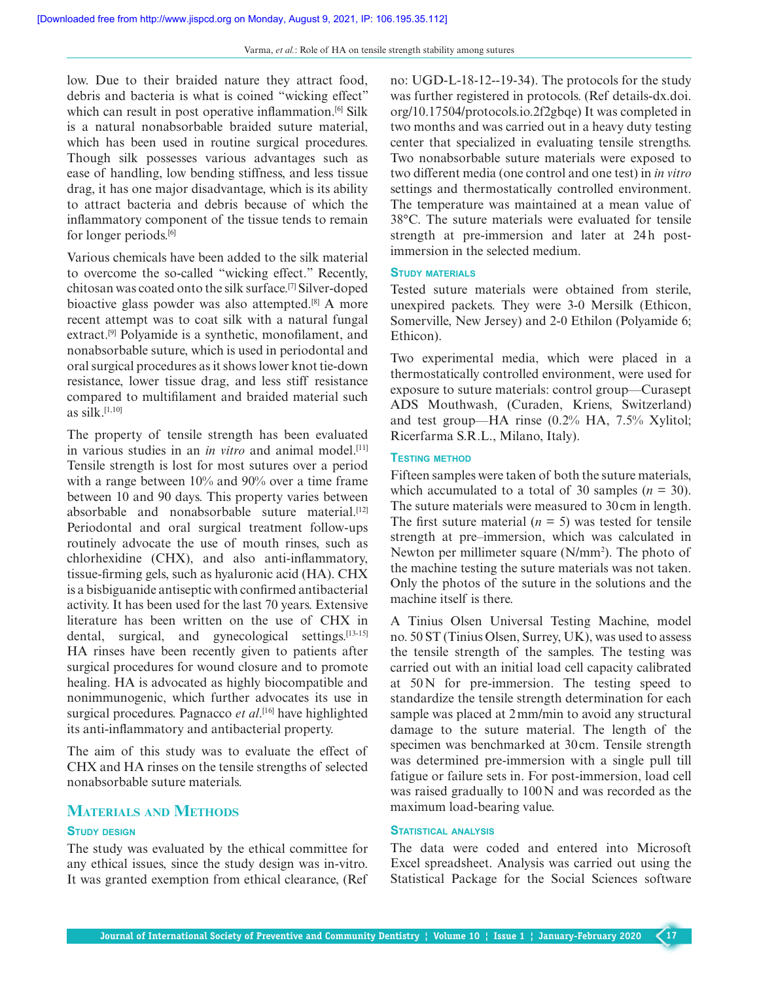low. Due to their braided nature they attract food, debris and bacteria is what is coined "wicking effect" which can result in post operative inflammation.<sup>[6]</sup> Silk is a natural nonabsorbable braided suture material, which has been used in routine surgical procedures. Though silk possesses various advantages such as ease of handling, low bending stiffness, and less tissue drag, it has one major disadvantage, which is its ability to attract bacteria and debris because of which the inflammatory component of the tissue tends to remain for longer periods.[6]

Various chemicals have been added to the silk material to overcome the so-called "wicking effect." Recently, chitosan was coated onto the silk surface.[7] Silver-doped bioactive glass powder was also attempted.[8] A more recent attempt was to coat silk with a natural fungal extract.[9] Polyamide is a synthetic, monofilament, and nonabsorbable suture, which is used in periodontal and oral surgical procedures as it shows lower knot tie-down resistance, lower tissue drag, and less stiff resistance compared to multifilament and braided material such as  $silk.$ <sup>[1,10]</sup>

The property of tensile strength has been evaluated in various studies in an *in vitro* and animal model.<sup>[11]</sup> Tensile strength is lost for most sutures over a period with a range between 10% and 90% over a time frame between 10 and 90 days. This property varies between absorbable and nonabsorbable suture material.[12] Periodontal and oral surgical treatment follow-ups routinely advocate the use of mouth rinses, such as chlorhexidine (CHX), and also anti-inflammatory, tissue-firming gels, such as hyaluronic acid (HA). CHX is a bisbiguanide antiseptic with confirmed antibacterial activity. It has been used for the last 70 years. Extensive literature has been written on the use of CHX in dental, surgical, and gynecological settings.<sup>[13-15]</sup> HA rinses have been recently given to patients after surgical procedures for wound closure and to promote healing. HA is advocated as highly biocompatible and nonimmunogenic, which further advocates its use in surgical procedures. Pagnacco *et al*. [16] have highlighted its anti-inflammatory and antibacterial property.

The aim of this study was to evaluate the effect of CHX and HA rinses on the tensile strengths of selected nonabsorbable suture materials.

## **MATERIALS AND METHODS**

### **STUDY DESIGN**

The study was evaluated by the ethical committee for any ethical issues, since the study design was in-vitro. It was granted exemption from ethical clearance, (Ref no: UGD-L-18-12--19-34). The protocols for the study was further registered in protocols. (Ref details-dx.doi. org/10.17504/protocols.io.2f2gbqe) It was completed in two months and was carried out in a heavy duty testing center that specialized in evaluating tensile strengths. Two nonabsorbable suture materials were exposed to two different media (one control and one test) in *in vitro* settings and thermostatically controlled environment. The temperature was maintained at a mean value of 38°C. The suture materials were evaluated for tensile strength at pre-immersion and later at 24h postimmersion in the selected medium.

## **STUDY MATERIALS**

Tested suture materials were obtained from sterile, unexpired packets. They were 3-0 Mersilk (Ethicon, Somerville, New Jersey) and 2-0 Ethilon (Polyamide 6; Ethicon).

Two experimental media, which were placed in a thermostatically controlled environment, were used for exposure to suture materials: control group—Curasept ADS Mouthwash, (Curaden, Kriens, Switzerland) and test group—HA rinse (0.2% HA, 7.5% Xylitol; Ricerfarma S.R.L., Milano, Italy).

## **TESTING METHOD**

Fifteen samples were taken of both the suture materials, which accumulated to a total of 30 samples  $(n = 30)$ . The suture materials were measured to 30 cm in length. The first suture material  $(n = 5)$  was tested for tensile strength at pre–immersion, which was calculated in Newton per millimeter square (N/mm<sup>2</sup>). The photo of the machine testing the suture materials was not taken. Only the photos of the suture in the solutions and the machine itself is there.

A Tinius Olsen Universal Testing Machine, model no. 50 ST (Tinius Olsen, Surrey, UK), was used to assess the tensile strength of the samples. The testing was carried out with an initial load cell capacity calibrated at 50 N for pre-immersion. The testing speed to standardize the tensile strength determination for each sample was placed at 2 mm/min to avoid any structural damage to the suture material. The length of the specimen was benchmarked at 30 cm. Tensile strength was determined pre-immersion with a single pull till fatigue or failure sets in. For post-immersion, load cell was raised gradually to 100 N and was recorded as the maximum load-bearing value.

## **STATISTICAL ANALYSIS**

The data were coded and entered into Microsoft Excel spreadsheet. Analysis was carried out using the Statistical Package for the Social Sciences software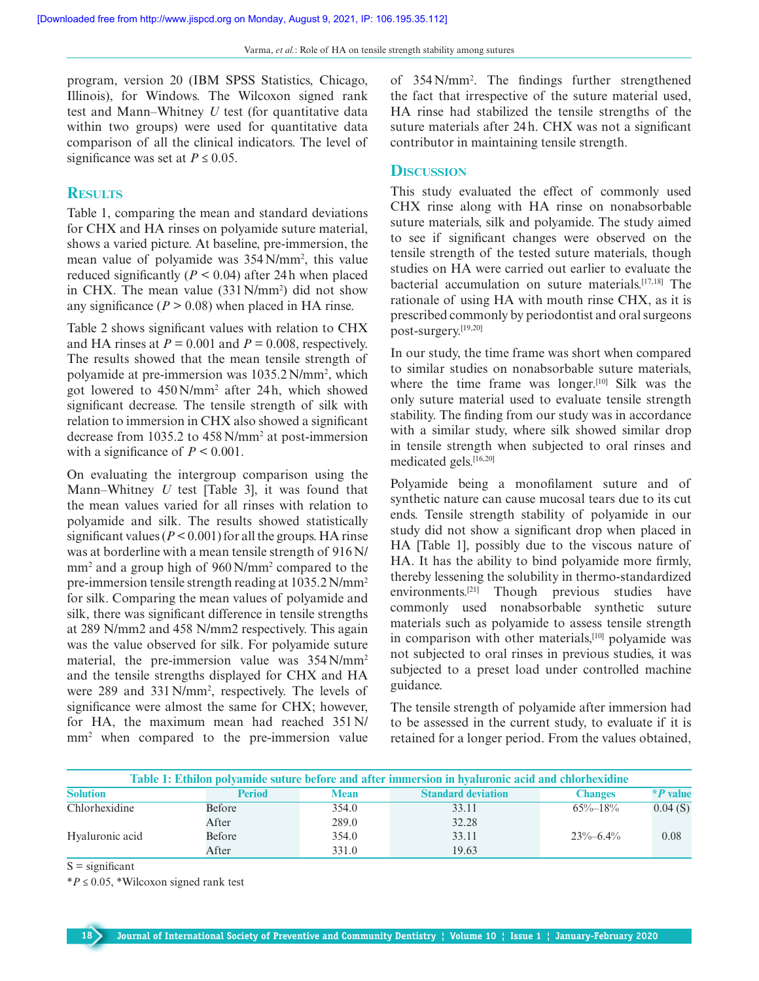program, version 20 (IBM SPSS Statistics, Chicago, Illinois), for Windows. The Wilcoxon signed rank test and Mann–Whitney *U* test (for quantitative data within two groups) were used for quantitative data comparison of all the clinical indicators. The level of significance was set at  $P \le 0.05$ .

## **RESULTS**

Table 1, comparing the mean and standard deviations for CHX and HA rinses on polyamide suture material, shows a varied picture. At baseline, pre-immersion, the mean value of polyamide was 354 N/mm<sup>2</sup> , this value reduced significantly  $(P < 0.04)$  after 24h when placed in CHX. The mean value (331 N/mm<sup>2</sup> ) did not show any significance ( $P > 0.08$ ) when placed in HA rinse.

Table 2 shows significant values with relation to CHX and HA rinses at  $P = 0.001$  and  $P = 0.008$ , respectively. The results showed that the mean tensile strength of polyamide at pre-immersion was 1035.2 N/mm<sup>2</sup> , which got lowered to 450 N/mm<sup>2</sup> after 24 h, which showed significant decrease. The tensile strength of silk with relation to immersion in CHX also showed a significant decrease from 1035.2 to 458 N/mm<sup>2</sup> at post-immersion with a significance of  $P \le 0.001$ .

On evaluating the intergroup comparison using the Mann–Whitney *U* test [Table 3], it was found that the mean values varied for all rinses with relation to polyamide and silk. The results showed statistically significant values ( $P < 0.001$ ) for all the groups. HA rinse was at borderline with a mean tensile strength of 916 N/ mm<sup>2</sup> and a group high of 960 N/mm<sup>2</sup> compared to the pre-immersion tensile strength reading at 1035.2 N/mm<sup>2</sup> for silk. Comparing the mean values of polyamide and silk, there was significant difference in tensile strengths at 289 N/mm2 and 458 N/mm2 respectively. This again was the value observed for silk. For polyamide suture material, the pre-immersion value was  $354$  N/mm<sup>2</sup> and the tensile strengths displayed for CHX and HA were 289 and 331 N/mm<sup>2</sup> , respectively. The levels of significance were almost the same for CHX; however, for HA, the maximum mean had reached 351 N/ mm<sup>2</sup> when compared to the pre-immersion value

of 354 N/mm<sup>2</sup> . The findings further strengthened the fact that irrespective of the suture material used, HA rinse had stabilized the tensile strengths of the suture materials after 24 h. CHX was not a significant contributor in maintaining tensile strength.

## **DISCUSSION**

This study evaluated the effect of commonly used CHX rinse along with HA rinse on nonabsorbable suture materials, silk and polyamide. The study aimed to see if significant changes were observed on the tensile strength of the tested suture materials, though studies on HA were carried out earlier to evaluate the bacterial accumulation on suture materials.[17,18] The rationale of using HA with mouth rinse CHX, as it is prescribed commonly by periodontist and oral surgeons post-surgery.[19,20]

In our study, the time frame was short when compared to similar studies on nonabsorbable suture materials, where the time frame was longer.<sup>[10]</sup> Silk was the only suture material used to evaluate tensile strength stability. The finding from our study was in accordance with a similar study, where silk showed similar drop in tensile strength when subjected to oral rinses and medicated gels.[16,20]

Polyamide being a monofilament suture and of synthetic nature can cause mucosal tears due to its cut ends. Tensile strength stability of polyamide in our study did not show a significant drop when placed in HA [Table 1], possibly due to the viscous nature of HA. It has the ability to bind polyamide more firmly, thereby lessening the solubility in thermo-standardized environments.[21] Though previous studies have commonly used nonabsorbable synthetic suture materials such as polyamide to assess tensile strength in comparison with other materials,[10] polyamide was not subjected to oral rinses in previous studies, it was subjected to a preset load under controlled machine guidance.

The tensile strength of polyamide after immersion had to be assessed in the current study, to evaluate if it is retained for a longer period. From the values obtained,

| Table 1: Ethilon polyamide suture before and after immersion in hyaluronic acid and chlorhexidine |               |             |                           |                |            |
|---------------------------------------------------------------------------------------------------|---------------|-------------|---------------------------|----------------|------------|
| <b>Solution</b>                                                                                   | <b>Period</b> | <b>Mean</b> | <b>Standard deviation</b> | <b>Changes</b> | $*P$ value |
| Chlorhexidine                                                                                     | Before        | 354.0       | 33.11                     | $65\% - 18\%$  | 0.04(S)    |
|                                                                                                   | After         | 289.0       | 32.28                     |                |            |
| Hyaluronic acid                                                                                   | Before        | 354.0       | 33.11                     | $23\% - 6.4\%$ | 0.08       |
|                                                                                                   | After         | 331.0       | 19.63                     |                |            |

 $S =$  significant

 $*P \leq 0.05$ , \*Wilcoxon signed rank test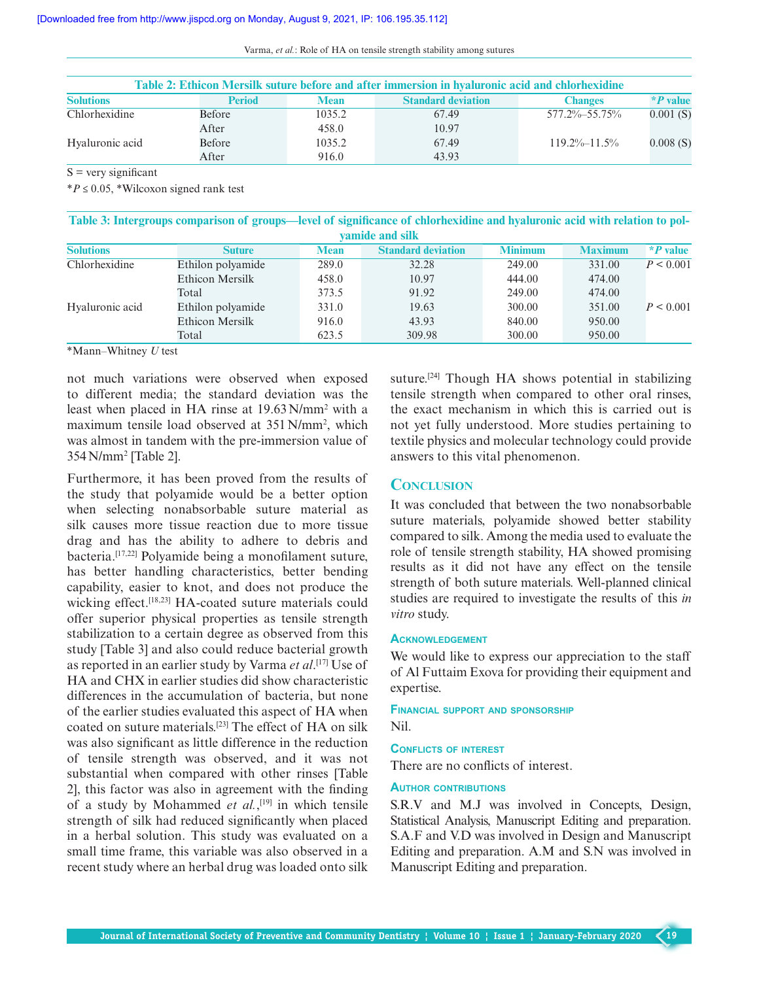| Varma, et al.: Role of HA on tensile strength stability among sutures |  |  |
|-----------------------------------------------------------------------|--|--|
|-----------------------------------------------------------------------|--|--|

| Table 2: Ethicon Mersilk suture before and after immersion in hyaluronic acid and chlorhexidine |               |             |                           |                    |            |
|-------------------------------------------------------------------------------------------------|---------------|-------------|---------------------------|--------------------|------------|
| <b>Solutions</b>                                                                                | <b>Period</b> | <b>Mean</b> | <b>Standard deviation</b> | <b>Changes</b>     | $*P$ value |
| Chlorhexidine                                                                                   | <b>Before</b> | 1035.2      | 67.49                     | 577.2%-55.75%      | 0.001(S)   |
|                                                                                                 | After         | 458.0       | 10.97                     |                    |            |
| Hyaluronic acid                                                                                 | Before        | 1035.2      | 67.49                     | $119.2\% - 11.5\%$ | 0.008(S)   |
|                                                                                                 | After         | 916.0       | 43.93                     |                    |            |

 $S$  = very significant

\**P* ≤ 0.05, \*Wilcoxon signed rank test

**Table 3: Intergroups comparison of groups—level of significance of chlorhexidine and hyaluronic acid with relation to polyamide and silk**

| vamnut anu siin  |                   |             |                           |                |                |            |  |
|------------------|-------------------|-------------|---------------------------|----------------|----------------|------------|--|
| <b>Solutions</b> | <b>Suture</b>     | <b>Mean</b> | <b>Standard deviation</b> | <b>Minimum</b> | <b>Maximum</b> | $*P$ value |  |
| Chlorhexidine    | Ethilon polyamide | 289.0       | 32.28                     | 249.00         | 331.00         | P < 0.001  |  |
|                  | Ethicon Mersilk   | 458.0       | 10.97                     | 444.00         | 474.00         |            |  |
|                  | Total             | 373.5       | 91.92                     | 249.00         | 474.00         |            |  |
| Hyaluronic acid  | Ethilon polyamide | 331.0       | 19.63                     | 300.00         | 351.00         | P < 0.001  |  |
|                  | Ethicon Mersilk   | 916.0       | 43.93                     | 840.00         | 950.00         |            |  |
|                  | Total             | 623.5       | 309.98                    | 300.00         | 950.00         |            |  |

\*Mann–Whitney *U* test

not much variations were observed when exposed to different media; the standard deviation was the least when placed in HA rinse at 19.63 N/mm<sup>2</sup> with a maximum tensile load observed at 351 N/mm<sup>2</sup> , which was almost in tandem with the pre-immersion value of 354 N/mm<sup>2</sup> [Table 2].

Furthermore, it has been proved from the results of the study that polyamide would be a better option when selecting nonabsorbable suture material as silk causes more tissue reaction due to more tissue drag and has the ability to adhere to debris and bacteria.[17,22] Polyamide being a monofilament suture, has better handling characteristics, better bending capability, easier to knot, and does not produce the wicking effect.[18,23] HA-coated suture materials could offer superior physical properties as tensile strength stabilization to a certain degree as observed from this study [Table 3] and also could reduce bacterial growth as reported in an earlier study by Varma *et al*. [17] Use of HA and CHX in earlier studies did show characteristic differences in the accumulation of bacteria, but none of the earlier studies evaluated this aspect of HA when coated on suture materials.[23] The effect of HA on silk was also significant as little difference in the reduction of tensile strength was observed, and it was not substantial when compared with other rinses [Table 2], this factor was also in agreement with the finding of a study by Mohammed *et al.*,<sup>[19]</sup> in which tensile strength of silk had reduced significantly when placed in a herbal solution. This study was evaluated on a small time frame, this variable was also observed in a recent study where an herbal drug was loaded onto silk

suture.[24] Though HA shows potential in stabilizing tensile strength when compared to other oral rinses, the exact mechanism in which this is carried out is not yet fully understood. More studies pertaining to textile physics and molecular technology could provide answers to this vital phenomenon.

## **CONCLUSION**

It was concluded that between the two nonabsorbable suture materials, polyamide showed better stability compared to silk. Among the media used to evaluate the role of tensile strength stability, HA showed promising results as it did not have any effect on the tensile strength of both suture materials. Well-planned clinical studies are required to investigate the results of this *in vitro* study.

### **ACKNOWLEDGEMENT**

We would like to express our appreciation to the staff of Al Futtaim Exova for providing their equipment and expertise.

**FINANCIAL SUPPORT AND SPONSORSHIP** Nil.

## **CONFLICTS OF INTEREST**

There are no conflicts of interest.

#### **AUTHOR CONTRIBUTIONS**

S.R.V and M.J was involved in Concepts, Design, Statistical Analysis, Manuscript Editing and preparation. S.A.F and V.D was involved in Design and Manuscript Editing and preparation. A.M and S.N was involved in Manuscript Editing and preparation.